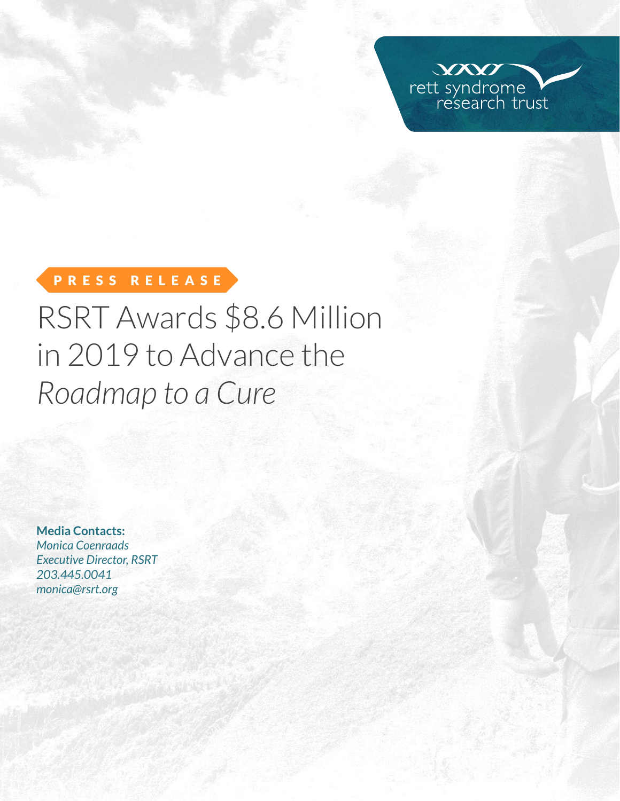

# PRESS RELEASE

# RSRT Awards \$8.6 Million in 2019 to Advance the *Roadmap to a Cure*

**Media Contacts:**  *Monica Coenraads Executive Director, RSRT 203.445.0041 [monica@rsrt.org](mailto:monica%40rsrt.org?subject=Press%20Release%20%7C%20CSO%20Announce)*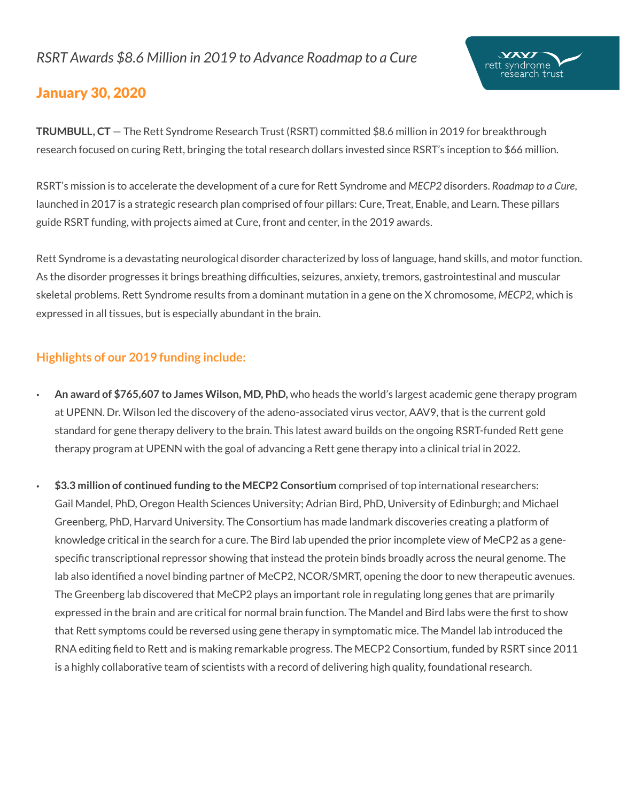# *RSRT Awards \$8.6 Million in 2019 to Advance Roadmap to a Cure*



# January 30, 2020

**TRUMBULL, CT** — The Rett Syndrome Research Trust (RSRT) committed \$8.6 million in 2019 for breakthrough research focused on curing Rett, bringing the total research dollars invested since RSRT's inception to \$66 million.

RSRT's mission is to accelerate the development of a cure for Rett Syndrome and *MECP2* disorders. *Roadmap to a Cure*, launched in 2017 is a strategic research plan comprised of four pillars: Cure, Treat, Enable, and Learn. These pillars guide RSRT funding, with projects aimed at Cure, front and center, in the 2019 awards.

Rett Syndrome is a devastating neurological disorder characterized by loss of language, hand skills, and motor function. As the disorder progresses it brings breathing difficulties, seizures, anxiety, tremors, gastrointestinal and muscular skeletal problems. Rett Syndrome results from a dominant mutation in a gene on the X chromosome, *MECP2*, which is expressed in all tissues, but is especially abundant in the brain.

# **Highlights of our 2019 funding include:**

- **An award of \$765,607 to James Wilson, MD, PhD,** who heads the world's largest academic gene therapy program at UPENN. Dr. Wilson led the discovery of the adeno-associated virus vector, AAV9, that is the current gold standard for gene therapy delivery to the brain. This latest award builds on the ongoing RSRT-funded Rett gene therapy program at UPENN with the goal of advancing a Rett gene therapy into a clinical trial in 2022.
- **\$3.3 million of continued funding to the MECP2 Consortium** comprised of top international researchers: Gail Mandel, PhD, Oregon Health Sciences University; Adrian Bird, PhD, University of Edinburgh; and Michael Greenberg, PhD, Harvard University. The Consortium has made landmark discoveries creating a platform of knowledge critical in the search for a cure. The Bird lab upended the prior incomplete view of MeCP2 as a genespecific transcriptional repressor showing that instead the protein binds broadly across the neural genome. The lab also identified a novel binding partner of MeCP2, NCOR/SMRT, opening the door to new therapeutic avenues. The Greenberg lab discovered that MeCP2 plays an important role in regulating long genes that are primarily expressed in the brain and are critical for normal brain function. The Mandel and Bird labs were the first to show that Rett symptoms could be reversed using gene therapy in symptomatic mice. The Mandel lab introduced the RNA editing field to Rett and is making remarkable progress. The MECP2 Consortium, funded by RSRT since 2011 is a highly collaborative team of scientists with a record of delivering high quality, foundational research.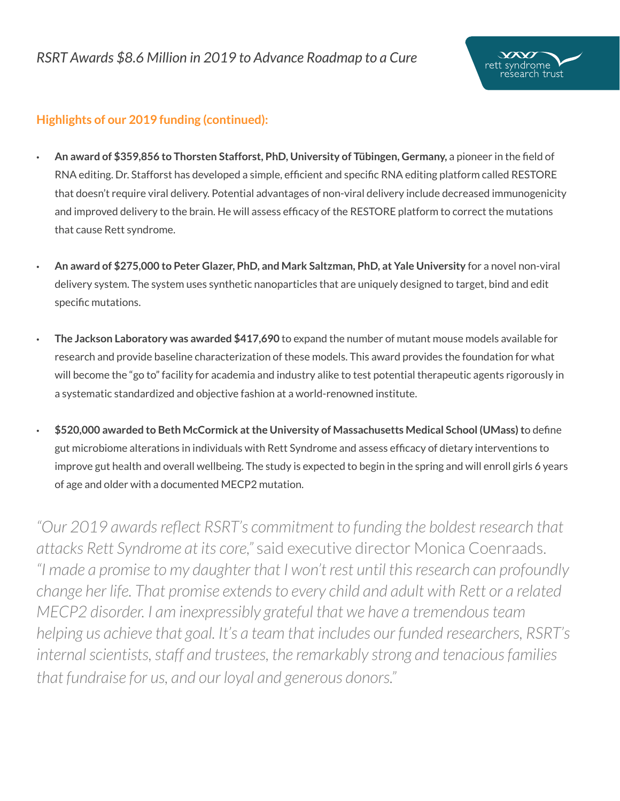

# **Highlights of our 2019 funding (continued):**

- **An award of \$359,856 to Thorsten Stafforst, PhD, University of Tübingen, Germany,** a pioneer in the field of RNA editing. Dr. Stafforst has developed a simple, efficient and specific RNA editing platform called RESTORE that doesn't require viral delivery. Potential advantages of non-viral delivery include decreased immunogenicity and improved delivery to the brain. He will assess efficacy of the RESTORE platform to correct the mutations that cause Rett syndrome.
- **An award of \$275,000 to Peter Glazer, PhD, and Mark Saltzman, PhD, at Yale University** for a novel non-viral delivery system. The system uses synthetic nanoparticles that are uniquely designed to target, bind and edit specific mutations.
- **The Jackson Laboratory was awarded \$417,690** to expand the number of mutant mouse models available for research and provide baseline characterization of these models. This award provides the foundation for what will become the "go to" facility for academia and industry alike to test potential therapeutic agents rigorously in a systematic standardized and objective fashion at a world-renowned institute.
- **\$520,000 awarded to Beth McCormick at the University of Massachusetts Medical School (UMass) t**o define gut microbiome alterations in individuals with Rett Syndrome and assess efficacy of dietary interventions to improve gut health and overall wellbeing. The study is expected to begin in the spring and will enroll girls 6 years of age and older with a documented MECP2 mutation.

*"Our 2019 awards reflect RSRT's commitment to funding the boldest research that attacks Rett Syndrome at its core,"* said executive director Monica Coenraads. *"I made a promise to my daughter that I won't rest until this research can profoundly change her life. That promise extends to every child and adult with Rett or a related MECP2 disorder. I am inexpressibly grateful that we have a tremendous team helping us achieve that goal. It's a team that includes our funded researchers, RSRT's internal scientists, staff and trustees, the remarkably strong and tenacious families that fundraise for us, and our loyal and generous donors."*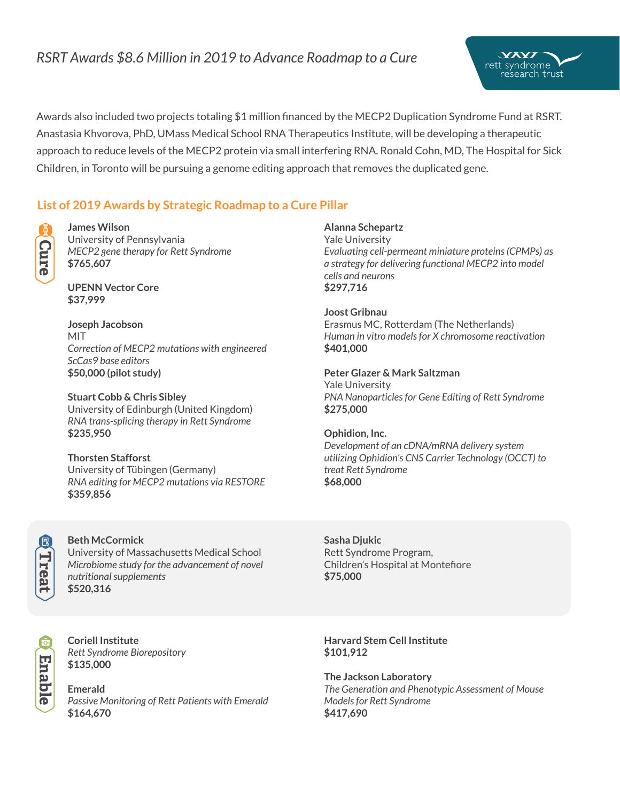# *RSRT Awards \$8.6 Million in 2019 to Advance Roadmap to a Cure*



### **List of 2019 Awards by Strategic Roadmap to a Cure Pillar**



# **James Wilson**

University of Pennsylvania *MECP2 gene therapy for Rett Syndrome* **\$765,607**

**UPENN Vector Core \$37,999**

**Joseph Jacobson** MIT *Correction of MECP2 mutations with engineered ScCas9 base editors*  **\$50,000 (pilot study)**

**Stuart Cobb & Chris Sibley**  University of Edinburgh (United Kingdom) *RNA trans-splicing therapy in Rett Syndrome* **\$235,950** 

**Thorsten Stafforst**  University of Tübingen (Germany) *RNA editing for MECP2 mutations via RESTORE* **\$359,856** 



#### **Beth McCormick**

University of Massachusetts Medical School *Microbiome study for the advancement of novel nutritional supplements*  **\$520,316** 



**Coriell Institute**  *Rett Syndrome Biorepository* **\$135,000** 

**Emerald** *Passive Monitoring of Rett Patients with Emerald*  **\$164,670** 

#### **Alanna Schepartz**

Yale University *Evaluating cell-permeant miniature proteins (CPMPs) as a strategy for delivering functional MECP2 into model cells and neurons* **\$297,716**

 $\chi$ rett syndrome e'search trust

**Joost Gribnau**

Erasmus MC, Rotterdam (The Netherlands) *Human in vitro models for X chromosome reactivation* **\$401,000**

**Peter Glazer & Mark Saltzman** Yale University *PNA Nanoparticles for Gene Editing of Rett Syndrome* **\$275,000** 

# **Ophidion, Inc.**

*Development of an cDNA/mRNA delivery system utilizing Ophidion's CNS Carrier Technology (OCCT) to treat Rett Syndrome* **\$68,000** 

**Sasha Djukic** Rett Syndrome Program, Children's Hospital at Montefiore **\$75,000**

**Harvard Stem Cell Institute \$101,912**

**The Jackson Laboratory** *The Generation and Phenotypic Assessment of Mouse Models for Rett Syndrome*  **\$417,690**